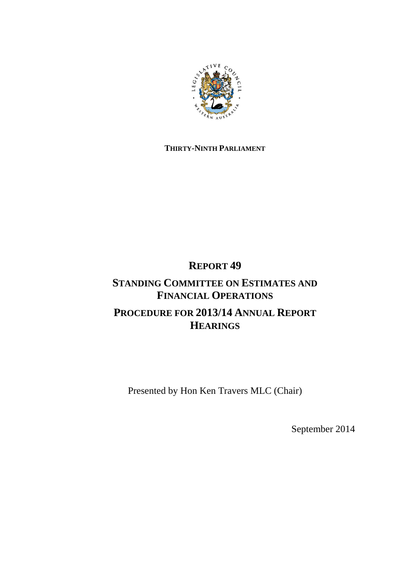

### **THIRTY-NINTH PARLIAMENT**

# **REPORT 49**

## **STANDING COMMITTEE ON ESTIMATES AND FINANCIAL OPERATIONS PROCEDURE FOR 2013/14 ANNUAL REPORT HEARINGS**

Presented by Hon Ken Travers MLC (Chair)

September 2014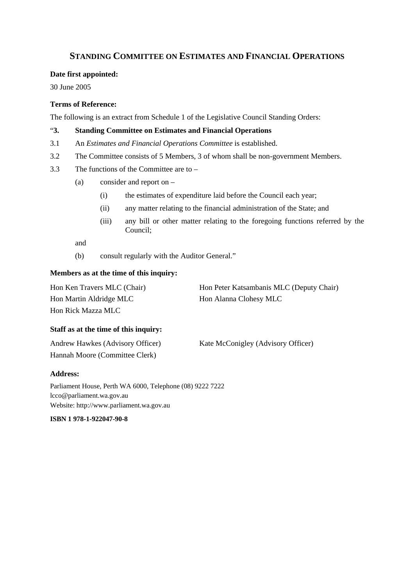### **STANDING COMMITTEE ON ESTIMATES AND FINANCIAL OPERATIONS**

#### **Date first appointed:**

30 June 2005

#### **Terms of Reference:**

The following is an extract from Schedule 1 of the Legislative Council Standing Orders:

#### "**3. Standing Committee on Estimates and Financial Operations**

- 3.1 An *Estimates and Financial Operations Committee* is established.
- 3.2 The Committee consists of 5 Members, 3 of whom shall be non-government Members.
- 3.3 The functions of the Committee are to
	- (a) consider and report on
		- (i) the estimates of expenditure laid before the Council each year;
		- (ii) any matter relating to the financial administration of the State; and
		- (iii) any bill or other matter relating to the foregoing functions referred by the Council;

and

(b) consult regularly with the Auditor General."

#### **Members as at the time of this inquiry:**

| Hon Ken Travers MLC (Chair) | Hon Peter Katsambanis MLC (Deputy Chair) |
|-----------------------------|------------------------------------------|
| Hon Martin Aldridge MLC     | Hon Alanna Clohesy MLC                   |
| Hon Rick Mazza MLC          |                                          |

#### **Staff as at the time of this inquiry:**

| Andrew Hawkes (Advisory Officer) | Kate McConigley (Advisory Officer) |
|----------------------------------|------------------------------------|
| Hannah Moore (Committee Clerk)   |                                    |

#### **Address:**

Parliament House, Perth WA 6000, Telephone (08) 9222 7222 lcco@parliament.wa.gov.au Website: http://www.parliament.wa.gov.au

**ISBN 1 978-1-922047-90-8**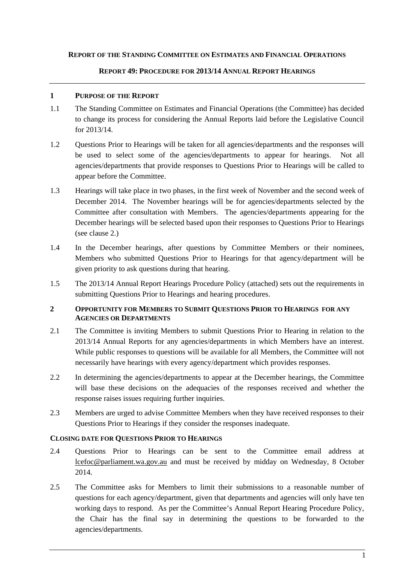#### **REPORT OF THE STANDING COMMITTEE ON ESTIMATES AND FINANCIAL OPERATIONS**

#### **REPORT 49: PROCEDURE FOR 2013/14 ANNUAL REPORT HEARINGS**

#### **1 PURPOSE OF THE REPORT**

- 1.1 The Standing Committee on Estimates and Financial Operations (the Committee) has decided to change its process for considering the Annual Reports laid before the Legislative Council for 2013/14.
- 1.2 Questions Prior to Hearings will be taken for all agencies/departments and the responses will be used to select some of the agencies/departments to appear for hearings. Not all agencies/departments that provide responses to Questions Prior to Hearings will be called to appear before the Committee.
- 1.3 Hearings will take place in two phases, in the first week of November and the second week of December 2014. The November hearings will be for agencies/departments selected by the Committee after consultation with Members. The agencies/departments appearing for the December hearings will be selected based upon their responses to Questions Prior to Hearings (see clause 2.)
- 1.4 In the December hearings, after questions by Committee Members or their nominees, Members who submitted Questions Prior to Hearings for that agency/department will be given priority to ask questions during that hearing.
- 1.5 The 2013/14 Annual Report Hearings Procedure Policy (attached) sets out the requirements in submitting Questions Prior to Hearings and hearing procedures.

#### **2 OPPORTUNITY FOR MEMBERS TO SUBMIT QUESTIONS PRIOR TO HEARINGS FOR ANY AGENCIES OR DEPARTMENTS**

- 2.1 The Committee is inviting Members to submit Questions Prior to Hearing in relation to the 2013/14 Annual Reports for any agencies/departments in which Members have an interest. While public responses to questions will be available for all Members, the Committee will not necessarily have hearings with every agency/department which provides responses.
- 2.2 In determining the agencies/departments to appear at the December hearings, the Committee will base these decisions on the adequacies of the responses received and whether the response raises issues requiring further inquiries.
- 2.3 Members are urged to advise Committee Members when they have received responses to their Questions Prior to Hearings if they consider the responses inadequate.

#### **CLOSING DATE FOR QUESTIONS PRIOR TO HEARINGS**

- 2.4 Questions Prior to Hearings can be sent to the Committee email address at lcefoc@parliament.wa.gov.au and must be received by midday on Wednesday, 8 October 2014.
- 2.5 The Committee asks for Members to limit their submissions to a reasonable number of questions for each agency/department, given that departments and agencies will only have ten working days to respond. As per the Committee's Annual Report Hearing Procedure Policy, the Chair has the final say in determining the questions to be forwarded to the agencies/departments.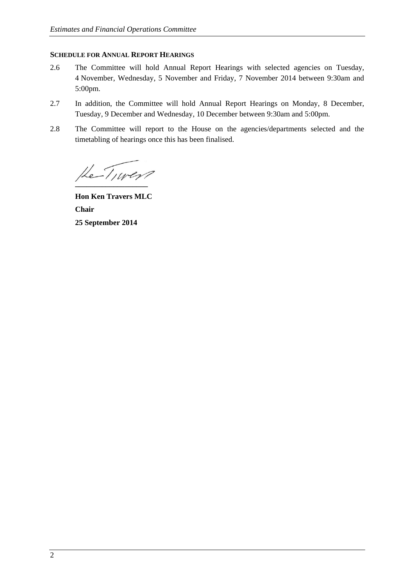#### **SCHEDULE FOR ANNUAL REPORT HEARINGS**

- 2.6 The Committee will hold Annual Report Hearings with selected agencies on Tuesday, 4 November, Wednesday, 5 November and Friday, 7 November 2014 between 9:30am and 5:00pm.
- 2.7 In addition, the Committee will hold Annual Report Hearings on Monday, 8 December, Tuesday, 9 December and Wednesday, 10 December between 9:30am and 5:00pm.
- 2.8 The Committee will report to the House on the agencies/departments selected and the timetabling of hearings once this has been finalised.

He Tiver

**Hon Ken Travers MLC Chair 25 September 2014**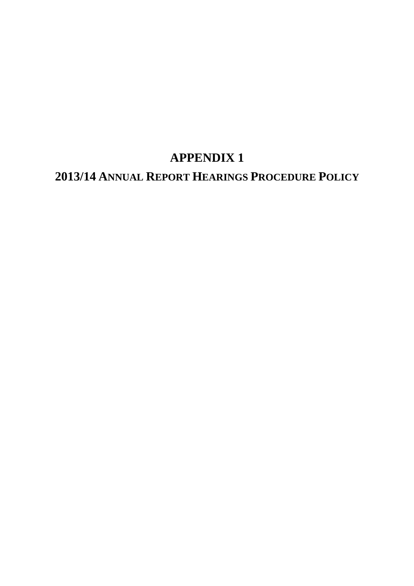# **APPENDIX 1**

# **2013/14 ANNUAL REPORT HEARINGS PROCEDURE POLICY**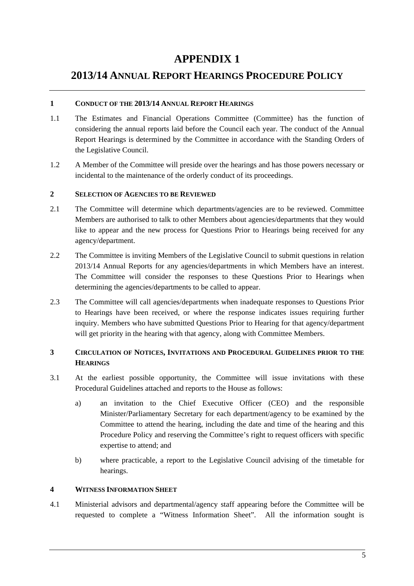## **APPENDIX 1**

### **2013/14 ANNUAL REPORT HEARINGS PROCEDURE POLICY**

#### **1 CONDUCT OF THE 2013/14 ANNUAL REPORT HEARINGS**

- 1.1 The Estimates and Financial Operations Committee (Committee) has the function of considering the annual reports laid before the Council each year. The conduct of the Annual Report Hearings is determined by the Committee in accordance with the Standing Orders of the Legislative Council.
- 1.2 A Member of the Committee will preside over the hearings and has those powers necessary or incidental to the maintenance of the orderly conduct of its proceedings.

#### **2 SELECTION OF AGENCIES TO BE REVIEWED**

- 2.1 The Committee will determine which departments/agencies are to be reviewed. Committee Members are authorised to talk to other Members about agencies/departments that they would like to appear and the new process for Questions Prior to Hearings being received for any agency/department.
- 2.2 The Committee is inviting Members of the Legislative Council to submit questions in relation 2013/14 Annual Reports for any agencies/departments in which Members have an interest. The Committee will consider the responses to these Questions Prior to Hearings when determining the agencies/departments to be called to appear.
- 2.3 The Committee will call agencies/departments when inadequate responses to Questions Prior to Hearings have been received, or where the response indicates issues requiring further inquiry. Members who have submitted Questions Prior to Hearing for that agency/department will get priority in the hearing with that agency, along with Committee Members.

### **3 CIRCULATION OF NOTICES, INVITATIONS AND PROCEDURAL GUIDELINES PRIOR TO THE HEARINGS**

- 3.1 At the earliest possible opportunity, the Committee will issue invitations with these Procedural Guidelines attached and reports to the House as follows:
	- a) an invitation to the Chief Executive Officer (CEO) and the responsible Minister/Parliamentary Secretary for each department/agency to be examined by the Committee to attend the hearing, including the date and time of the hearing and this Procedure Policy and reserving the Committee's right to request officers with specific expertise to attend; and
	- b) where practicable, a report to the Legislative Council advising of the timetable for hearings.

#### **4 WITNESS INFORMATION SHEET**

4.1 Ministerial advisors and departmental/agency staff appearing before the Committee will be requested to complete a "Witness Information Sheet". All the information sought is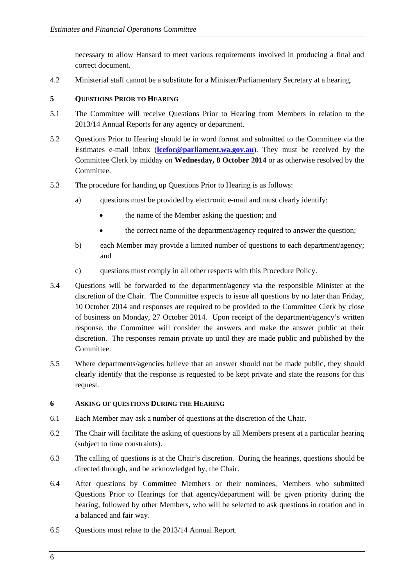necessary to allow Hansard to meet various requirements involved in producing a final and correct document.

4.2 Ministerial staff cannot be a substitute for a Minister/Parliamentary Secretary at a hearing.

#### **5 QUESTIONS PRIOR TO HEARING**

- 5.1 The Committee will receive Questions Prior to Hearing from Members in relation to the 2013/14 Annual Reports for any agency or department.
- 5.2 Questions Prior to Hearing should be in word format and submitted to the Committee via the Estimates e-mail inbox (**lcefoc@parliament.wa.gov.au**). They must be received by the Committee Clerk by midday on **Wednesday, 8 October 2014** or as otherwise resolved by the Committee.
- 5.3 The procedure for handing up Questions Prior to Hearing is as follows:
	- a) questions must be provided by electronic e-mail and must clearly identify:
		- the name of the Member asking the question; and
		- the correct name of the department/agency required to answer the question;
	- b) each Member may provide a limited number of questions to each department/agency; and
	- c) questions must comply in all other respects with this Procedure Policy.
- 5.4 Questions will be forwarded to the department/agency via the responsible Minister at the discretion of the Chair. The Committee expects to issue all questions by no later than Friday, 10 October 2014 and responses are required to be provided to the Committee Clerk by close of business on Monday, 27 October 2014. Upon receipt of the department/agency's written response, the Committee will consider the answers and make the answer public at their discretion. The responses remain private up until they are made public and published by the Committee.
- 5.5 Where departments/agencies believe that an answer should not be made public, they should clearly identify that the response is requested to be kept private and state the reasons for this request.

#### **6 ASKING OF QUESTIONS DURING THE HEARING**

- 6.1 Each Member may ask a number of questions at the discretion of the Chair.
- 6.2 The Chair will facilitate the asking of questions by all Members present at a particular hearing (subject to time constraints).
- 6.3 The calling of questions is at the Chair's discretion. During the hearings, questions should be directed through, and be acknowledged by, the Chair.
- 6.4 After questions by Committee Members or their nominees, Members who submitted Questions Prior to Hearings for that agency/department will be given priority during the hearing, followed by other Members, who will be selected to ask questions in rotation and in a balanced and fair way.
- 6.5 Questions must relate to the 2013/14 Annual Report.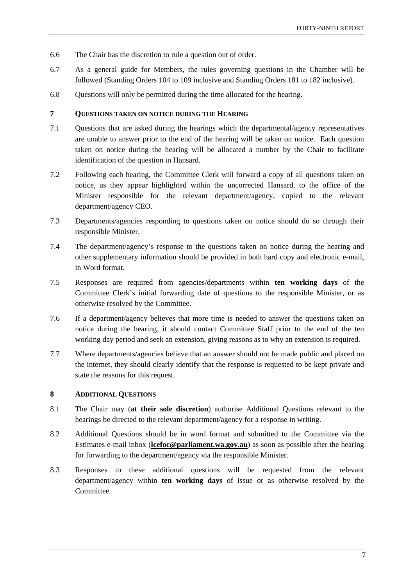- 6.6 The Chair has the discretion to rule a question out of order.
- 6.7 As a general guide for Members, the rules governing questions in the Chamber will be followed (Standing Orders 104 to 109 inclusive and Standing Orders 181 to 182 inclusive).
- 6.8 Questions will only be permitted during the time allocated for the hearing.

#### **7 QUESTIONS TAKEN ON NOTICE DURING THE HEARING**

- 7.1 Questions that are asked during the hearings which the departmental/agency representatives are unable to answer prior to the end of the hearing will be taken on notice. Each question taken on notice during the hearing will be allocated a number by the Chair to facilitate identification of the question in Hansard.
- 7.2 Following each hearing, the Committee Clerk will forward a copy of all questions taken on notice, as they appear highlighted within the uncorrected Hansard, to the office of the Minister responsible for the relevant department/agency, copied to the relevant department/agency CEO.
- 7.3 Departments/agencies responding to questions taken on notice should do so through their responsible Minister.
- 7.4 The department/agency's response to the questions taken on notice during the hearing and other supplementary information should be provided in both hard copy and electronic e-mail, in Word format.
- 7.5 Responses are required from agencies/departments within **ten working days** of the Committee Clerk's initial forwarding date of questions to the responsible Minister, or as otherwise resolved by the Committee.
- 7.6 If a department/agency believes that more time is needed to answer the questions taken on notice during the hearing, it should contact Committee Staff prior to the end of the ten working day period and seek an extension, giving reasons as to why an extension is required.
- 7.7 Where departments/agencies believe that an answer should not be made public and placed on the internet, they should clearly identify that the response is requested to be kept private and state the reasons for this request.

#### **8 ADDITIONAL QUESTIONS**

- 8.1 The Chair may (**at their sole discretion**) authorise Additional Questions relevant to the hearings be directed to the relevant department/agency for a response in writing.
- 8.2 Additional Questions should be in word format and submitted to the Committee via the Estimates e-mail inbox (**lcefoc@parliament.wa.gov.au**) as soon as possible after the hearing for forwarding to the department/agency via the responsible Minister.
- 8.3 Responses to these additional questions will be requested from the relevant department/agency within **ten working days** of issue or as otherwise resolved by the Committee.